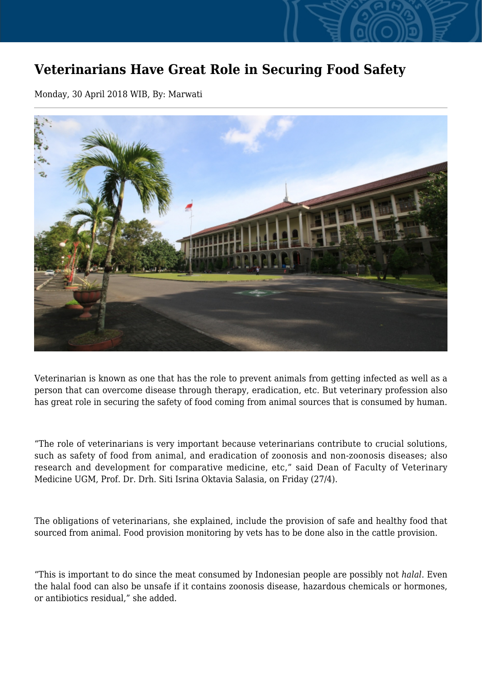## **Veterinarians Have Great Role in Securing Food Safety**

Monday, 30 April 2018 WIB, By: Marwati



Veterinarian is known as one that has the role to prevent animals from getting infected as well as a person that can overcome disease through therapy, eradication, etc. But veterinary profession also has great role in securing the safety of food coming from animal sources that is consumed by human.

"The role of veterinarians is very important because veterinarians contribute to crucial solutions, such as safety of food from animal, and eradication of zoonosis and non-zoonosis diseases; also research and development for comparative medicine, etc," said Dean of Faculty of Veterinary Medicine UGM, Prof. Dr. Drh. Siti Isrina Oktavia Salasia, on Friday (27/4).

The obligations of veterinarians, she explained, include the provision of safe and healthy food that sourced from animal. Food provision monitoring by vets has to be done also in the cattle provision.

"This is important to do since the meat consumed by Indonesian people are possibly not *halal*. Even the halal food can also be unsafe if it contains zoonosis disease, hazardous chemicals or hormones, or antibiotics residual," she added.